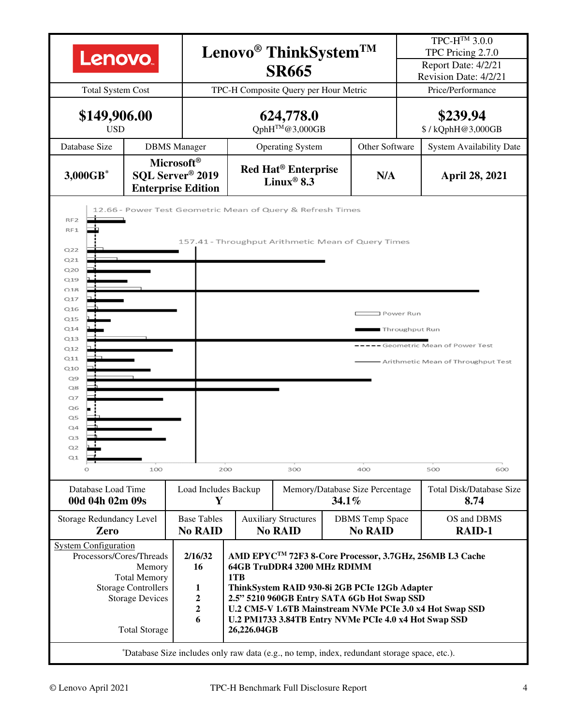| Lenovo.<br><b>Total System Cost</b>                                                                                                                                                                                                                                                                                                                                                                                                                                                                                                                                                                                                                                                                      | Lenovo <sup>®</sup> ThinkSystem <sup>TM</sup><br><b>SR665</b><br>TPC-H Composite Query per Hour Metric                                                                                                                    |                                               |  |                                                                 |                                             | TPC-H <sup>TM</sup> 3.0.0<br>TPC Pricing 2.7.0<br>Report Date: 4/2/21<br>Revision Date: 4/2/21<br>Price/Performance |                                         |  |  |  |
|----------------------------------------------------------------------------------------------------------------------------------------------------------------------------------------------------------------------------------------------------------------------------------------------------------------------------------------------------------------------------------------------------------------------------------------------------------------------------------------------------------------------------------------------------------------------------------------------------------------------------------------------------------------------------------------------------------|---------------------------------------------------------------------------------------------------------------------------------------------------------------------------------------------------------------------------|-----------------------------------------------|--|-----------------------------------------------------------------|---------------------------------------------|---------------------------------------------------------------------------------------------------------------------|-----------------------------------------|--|--|--|
| \$149,906.00<br><b>USD</b>                                                                                                                                                                                                                                                                                                                                                                                                                                                                                                                                                                                                                                                                               |                                                                                                                                                                                                                           |                                               |  | 624,778.0<br>QphH™@3,000GB                                      |                                             |                                                                                                                     | \$239.94<br>\$/kQphH@3,000GB            |  |  |  |
| Database Size                                                                                                                                                                                                                                                                                                                                                                                                                                                                                                                                                                                                                                                                                            | <b>DBMS</b> Manager                                                                                                                                                                                                       |                                               |  | Other Software<br><b>Operating System</b>                       |                                             |                                                                                                                     | <b>System Availability Date</b>         |  |  |  |
| 3,000GB*                                                                                                                                                                                                                                                                                                                                                                                                                                                                                                                                                                                                                                                                                                 | Microsoft <sup>®</sup><br>SQL Server <sup>®</sup> 2019<br><b>Enterprise Edition</b>                                                                                                                                       |                                               |  | <b>Red Hat<sup>®</sup></b> Enterprise<br>Linux <sup>®</sup> 8.3 | N/A                                         |                                                                                                                     | <b>April 28, 2021</b>                   |  |  |  |
| RF <sub>2</sub><br>RF1<br>Q <sub>22</sub><br>Q21<br>Q20<br>Q19<br>Q18<br>Q17<br>Q16<br>Q <sub>15</sub><br>Q14<br>Q13<br>Q12<br>Q11<br>Q10<br>Q9<br>Q8<br>$Q$ 7<br>Q6<br>Q5<br>Q4<br>Q3<br>Q2<br>Q1                                                                                                                                                                                                                                                                                                                                                                                                                                                                                                       | 12.66 - Power Test Geometric Mean of Query & Refresh Times<br>157.41 - Throughput Arithmetic Mean of Query Times<br>I Power Run<br>Throughput Run<br>Geometric Mean of Power Test<br>- Arithmetic Mean of Throughput Test |                                               |  |                                                                 |                                             |                                                                                                                     |                                         |  |  |  |
| $\circ$                                                                                                                                                                                                                                                                                                                                                                                                                                                                                                                                                                                                                                                                                                  | 100                                                                                                                                                                                                                       | 200                                           |  | 300                                                             | 400                                         |                                                                                                                     | 500<br>600                              |  |  |  |
| Database Load Time<br>00d 04h 02m 09s                                                                                                                                                                                                                                                                                                                                                                                                                                                                                                                                                                                                                                                                    |                                                                                                                                                                                                                           | Load Includes Backup<br>Y                     |  |                                                                 | Memory/Database Size Percentage<br>$34.1\%$ |                                                                                                                     | <b>Total Disk/Database Size</b><br>8.74 |  |  |  |
| <b>Storage Redundancy Level</b><br>Zero                                                                                                                                                                                                                                                                                                                                                                                                                                                                                                                                                                                                                                                                  | <b>Base Tables</b><br><b>No RAID</b>                                                                                                                                                                                      | <b>Auxiliary Structures</b><br><b>No RAID</b> |  | <b>DBMS</b> Temp Space<br><b>No RAID</b>                        |                                             | OS and DBMS<br><b>RAID-1</b>                                                                                        |                                         |  |  |  |
| <b>System Configuration</b><br>Processors/Cores/Threads<br>AMD EPYC <sup>TM</sup> 72F3 8-Core Processor, 3.7GHz, 256MB L3 Cache<br>2/16/32<br>64GB TruDDR4 3200 MHz RDIMM<br>Memory<br>16<br><b>Total Memory</b><br>1TB<br><b>Storage Controllers</b><br>$\mathbf{1}$<br>ThinkSystem RAID 930-8i 2GB PCIe 12Gb Adapter<br>$\boldsymbol{2}$<br><b>Storage Devices</b><br>2.5" 5210 960GB Entry SATA 6Gb Hot Swap SSD<br>$\boldsymbol{2}$<br>U.2 CM5-V 1.6TB Mainstream NVMe PCIe 3.0 x4 Hot Swap SSD<br>6<br>U.2 PM1733 3.84TB Entry NVMe PCIe 4.0 x4 Hot Swap SSD<br><b>Total Storage</b><br>26,226.04GB<br>*Database Size includes only raw data (e.g., no temp, index, redundant storage space, etc.). |                                                                                                                                                                                                                           |                                               |  |                                                                 |                                             |                                                                                                                     |                                         |  |  |  |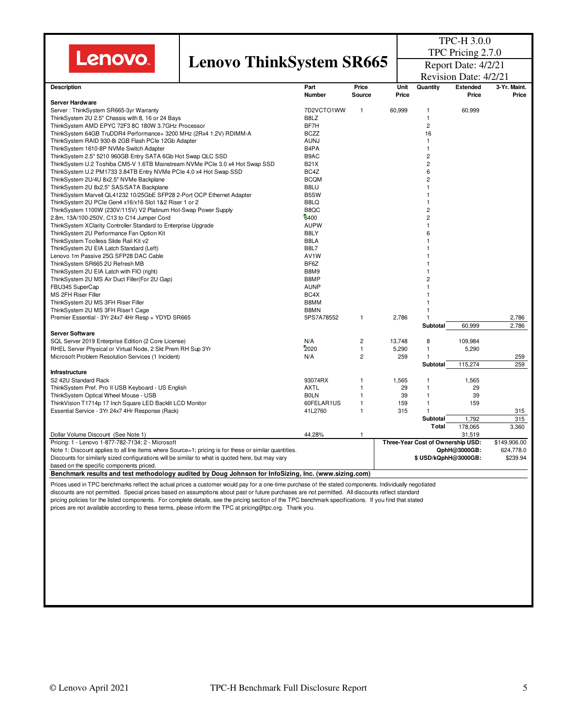| <b>Lenovo</b> |  |  |
|---------------|--|--|
|               |  |  |

## **Lenovo ThinkSystem SR665**

TPC-H 3.0.0 TPC Pricing 2.7.0 Report Date: 4/2/21

|                                                                                                                                                        |                   |                | Revision Date: 4/2/21 |                                   |                 |              |  |
|--------------------------------------------------------------------------------------------------------------------------------------------------------|-------------------|----------------|-----------------------|-----------------------------------|-----------------|--------------|--|
| <b>Description</b>                                                                                                                                     | Part              | Price          | Unit                  | Quantity                          | <b>Extended</b> | 3-Yr. Maint. |  |
|                                                                                                                                                        | <b>Number</b>     | Source         | Price                 |                                   | Price           | Price        |  |
| Server Hardware                                                                                                                                        |                   |                |                       |                                   |                 |              |  |
| Server: ThinkSystem SR665-3yr Warranty                                                                                                                 | 7D2VCTO1WW        | $\mathbf{1}$   | 60,999                | 1                                 | 60,999          |              |  |
| ThinkSystem 2U 2.5" Chassis with 8, 16 or 24 Bays                                                                                                      | B8LZ              |                |                       | 1                                 |                 |              |  |
| ThinkSystem AMD EPYC 72F3 8C 180W 3.7GHz Processor                                                                                                     | BF7H              |                |                       | $\overline{c}$                    |                 |              |  |
| ThinkSystem 64GB TruDDR4 Performance+ 3200 MHz (2Rx4 1.2V) RDIMM-A                                                                                     | <b>BCZZ</b>       |                |                       | 16                                |                 |              |  |
| ThinkSystem RAID 930-8i 2GB Flash PCIe 12Gb Adapter                                                                                                    | <b>AUNJ</b>       |                |                       | 1                                 |                 |              |  |
| ThinkSystem 1610-8P NVMe Switch Adapter                                                                                                                | B <sub>4</sub> PA |                |                       | 1                                 |                 |              |  |
| ThinkSystem 2.5" 5210 960GB Entry SATA 6Gb Hot Swap QLC SSD                                                                                            | B <sub>9</sub> AC |                |                       | $\overline{2}$                    |                 |              |  |
| ThinkSystem U.2 Toshiba CM5-V 1.6TB Mainstream NVMe PCIe 3.0 x4 Hot Swap SSD                                                                           | <b>B21X</b>       |                |                       | $\overline{2}$                    |                 |              |  |
| ThinkSystem U.2 PM1733 3.84TB Entry NVMe PCle 4.0 x4 Hot Swap SSD                                                                                      | BC4Z              |                |                       | 6                                 |                 |              |  |
| ThinkSystem 2U/4U 8x2.5" NVMe Backplane                                                                                                                | <b>BCQM</b>       |                |                       | $\overline{2}$                    |                 |              |  |
| ThinkSystem 2U 8x2.5" SAS/SATA Backplane                                                                                                               | B8LU              |                |                       | 1                                 |                 |              |  |
| ThinkSystem Marvell QL41232 10/25GbE SFP28 2-Port OCP Ethernet Adapter                                                                                 | B5SW              |                |                       | 1                                 |                 |              |  |
| ThinkSystem 2U PCIe Gen4 x16/x16 Slot 1&2 Riser 1 or 2                                                                                                 | B8LQ              |                |                       | 1                                 |                 |              |  |
| ThinkSystem 1100W (230V/115V) V2 Platinum Hot-Swap Power Supply                                                                                        | B8QC              |                |                       | $\overline{c}$                    |                 |              |  |
| 2.8m, 13A/100-250V, C13 to C14 Jumper Cord                                                                                                             | 6400              |                |                       | $\overline{2}$                    |                 |              |  |
| ThinkSystem XClarity Controller Standard to Enterprise Upgrade                                                                                         | <b>AUPW</b>       |                |                       | 1                                 |                 |              |  |
| ThinkSystem 2U Performance Fan Option Kit                                                                                                              | B8LY              |                |                       | 6                                 |                 |              |  |
| ThinkSystem Toolless Slide Rail Kit v2                                                                                                                 | B8LA              |                |                       | 1                                 |                 |              |  |
| ThinkSystem 2U EIA Latch Standard (Left)                                                                                                               | <b>B8L7</b>       |                |                       |                                   |                 |              |  |
| Lenovo 1m Passive 25G SFP28 DAC Cable                                                                                                                  | AV <sub>1</sub> W |                |                       | 1                                 |                 |              |  |
| ThinkSystem SR665 2U Refresh MB                                                                                                                        | BF6Z              |                |                       |                                   |                 |              |  |
| ThinkSystem 2U EIA Latch with FIO (right)                                                                                                              | B8M9              |                |                       | 1                                 |                 |              |  |
| ThinkSystem 2U MS Air Duct Filler(For 2U Gap)                                                                                                          | B8MP              |                |                       | $\overline{c}$                    |                 |              |  |
| FBU345 SuperCap                                                                                                                                        | <b>AUNP</b>       |                |                       | 1                                 |                 |              |  |
| MS 2FH Riser Filler                                                                                                                                    | BC4X              |                |                       | 1                                 |                 |              |  |
| ThinkSystem 2U MS 3FH Riser Filler                                                                                                                     | B8MM              |                |                       |                                   |                 |              |  |
| ThinkSystem 2U MS 3FH Riser1 Cage                                                                                                                      | B8MN              |                |                       | 1                                 |                 |              |  |
| Premier Essential - 3Yr 24x7 4Hr Resp + YDYD SR665                                                                                                     | 5PS7A78552        | 1              | 2,786                 | -1                                |                 | 2,786        |  |
|                                                                                                                                                        |                   |                |                       | Subtotal                          | 60,999          | 2,786        |  |
| <b>Server Software</b>                                                                                                                                 |                   |                |                       |                                   |                 |              |  |
| SQL Server 2019 Enterprise Edition (2 Core License)                                                                                                    | N/A               | $\overline{c}$ | 13,748                | 8                                 | 109,984         |              |  |
| RHEL Server Physical or Virtual Node, 2 Skt Prem RH Sup 3Yr                                                                                            | 2020              | 1              | 5,290                 | 1                                 | 5,290           |              |  |
| Microsoft Problem Resolution Services (1 Incident)                                                                                                     | N/A               | $\overline{2}$ | 259                   | $\mathbf{1}$                      |                 | 259          |  |
|                                                                                                                                                        |                   |                |                       | Subtotal                          | 115,274         | 259          |  |
| Infrastructure                                                                                                                                         |                   |                |                       |                                   |                 |              |  |
| S2 42U Standard Rack                                                                                                                                   | 93074RX           | 1              | 1,565                 | $\mathbf{1}$                      | 1,565           |              |  |
| ThinkSystem Pref. Pro II USB Keyboard - US English                                                                                                     | <b>AXTL</b>       | $\mathbf{1}$   | 29                    | 1                                 | 29              |              |  |
| ThinkSystem Optical Wheel Mouse - USB                                                                                                                  | <b>BOLN</b>       | 1              | 39                    | 1                                 | 39              |              |  |
| ThinkVision T1714p 17 Inch Square LED Backlit LCD Monitor                                                                                              | 60FELAR1US        | 1              | 159                   | 1                                 | 159             |              |  |
| Essential Service - 3Yr 24x7 4Hr Response (Rack)                                                                                                       | 41L2760           | $\mathbf{1}$   | 315                   | $\mathbf{1}$                      |                 | 315          |  |
|                                                                                                                                                        |                   |                |                       | <b>Subtotal</b>                   | 1,792           | 315          |  |
|                                                                                                                                                        |                   |                |                       | Total                             | 178,065         | 3,360        |  |
| Dollar Volume Discount (See Note 1)                                                                                                                    | 44.28%            | 1              |                       |                                   | 31,519          |              |  |
| Pricing: 1 - Lenovo 1-877-782-7134; 2 - Microsoft                                                                                                      |                   |                |                       | Three-Year Cost of Ownership USD: |                 | \$149,906.00 |  |
| Note 1: Discount applies to all line items where Source=1; pricing is for these or similar quantities.                                                 |                   |                |                       |                                   | QphH@3000GB:    | 624,778.0    |  |
| Discounts for similarly sized configurations will be similar to what is quoted here, but may vary                                                      |                   |                |                       | \$USD/kQphH@3000GB:               |                 | \$239.94     |  |
| based on the specific components priced.                                                                                                               |                   |                |                       |                                   |                 |              |  |
| Benchmark results and test methodology audited by Doug Johnson for InfoSizing, Inc. (www.sizing.com)                                                   |                   |                |                       |                                   |                 |              |  |
| Prices used in TPC benchmarks reflect the actual prices a customer would pay for a one-time purchase of the stated components. Individually negotiated |                   |                |                       |                                   |                 |              |  |
| discounts are not permitted. Special prices based on assumptions about past or future purchases are not permitted. All discounts reflect standard      |                   |                |                       |                                   |                 |              |  |
| pricing policies for the listed components. For complete details, see the pricing section of the TPC benchmark specifications. If you find that stated |                   |                |                       |                                   |                 |              |  |
| prices are not available according to these terms, please inform the TPC at pricing@tpc.org. Thank you.                                                |                   |                |                       |                                   |                 |              |  |
|                                                                                                                                                        |                   |                |                       |                                   |                 |              |  |
|                                                                                                                                                        |                   |                |                       |                                   |                 |              |  |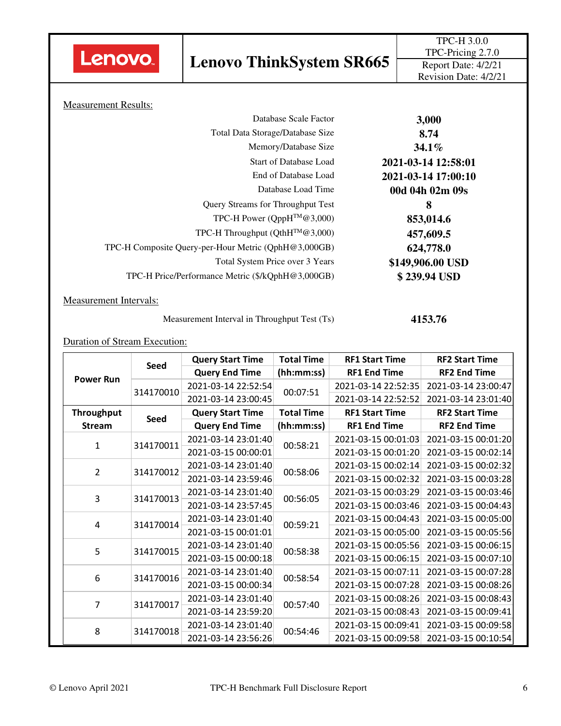

## **Lenovo ThinkSystem SR665**

| 3,000               | Database Scale Factor                                |
|---------------------|------------------------------------------------------|
| 8.74                | Total Data Storage/Database Size                     |
| $34.1\%$            | Memory/Database Size                                 |
| 2021-03-14 12:58:01 | <b>Start of Database Load</b>                        |
| 2021-03-14 17:00:10 | End of Database Load                                 |
| 00d 04h 02m 09s     | Database Load Time                                   |
| 8                   | Query Streams for Throughput Test                    |
| 853,014.6           | TPC-H Power ( $QppH^{TM}$ @3,000)                    |
| 457,609.5           | TPC-H Throughput ( $QthH^{TM}$ @3,000)               |
| 624,778.0           | TPC-H Composite Query-per-Hour Metric (QphH@3,000GB) |
| \$149,906.00 USD    | Total System Price over 3 Years                      |
| \$239.94 USD        | TPC-H Price/Performance Metric (\$/kQphH@3,000GB)    |
|                     |                                                      |

Measurement Intervals:

Measurement Interval in Throughput Test (Ts) **4153.76** 

Duration of Stream Execution:

|                  | Seed        | <b>Query Start Time</b> | <b>Total Time</b> | <b>RF1 Start Time</b> | <b>RF2 Start Time</b> |  |
|------------------|-------------|-------------------------|-------------------|-----------------------|-----------------------|--|
| <b>Power Run</b> |             | <b>Query End Time</b>   | (hh:mm:ss)        | <b>RF1 End Time</b>   | <b>RF2 End Time</b>   |  |
|                  |             | 2021-03-14 22:52:54     | 00:07:51          | 2021-03-14 22:52:35   | 2021-03-14 23:00:47   |  |
|                  | 314170010   | 2021-03-14 23:00:45     |                   | 2021-03-14 22:52:52   | 2021-03-14 23:01:40   |  |
| Throughput       | <b>Seed</b> | <b>Query Start Time</b> | <b>Total Time</b> | <b>RF1 Start Time</b> | <b>RF2 Start Time</b> |  |
| <b>Stream</b>    |             | <b>Query End Time</b>   | (hh:mm:ss)        | <b>RF1 End Time</b>   | <b>RF2 End Time</b>   |  |
| $\mathbf{1}$     | 314170011   | 2021-03-14 23:01:40     | 00:58:21          | 2021-03-15 00:01:03   | 2021-03-15 00:01:20   |  |
|                  |             | 2021-03-15 00:00:01     |                   | 2021-03-15 00:01:20   | 2021-03-15 00:02:14   |  |
| $\overline{2}$   | 314170012   | 2021-03-14 23:01:40     | 00:58:06          | 2021-03-15 00:02:14   | 2021-03-15 00:02:32   |  |
|                  |             | 2021-03-14 23:59:46     |                   | 2021-03-15 00:02:32   | 2021-03-15 00:03:28   |  |
| $\overline{3}$   | 314170013   | 2021-03-14 23:01:40     | 00:56:05          | 2021-03-15 00:03:29   | 2021-03-15 00:03:46   |  |
|                  |             | 2021-03-14 23:57:45     |                   | 2021-03-15 00:03:46   | 2021-03-15 00:04:43   |  |
| $\overline{4}$   |             | 2021-03-14 23:01:40     | 00:59:21          | 2021-03-15 00:04:43   | 2021-03-15 00:05:00   |  |
|                  | 314170014   | 2021-03-15 00:01:01     |                   | 2021-03-15 00:05:00   | 2021-03-15 00:05:56   |  |
| 5                | 314170015   | 2021-03-14 23:01:40     | 00:58:38          | 2021-03-15 00:05:56   | 2021-03-15 00:06:15   |  |
|                  |             | 2021-03-15 00:00:18     |                   | 2021-03-15 00:06:15   | 2021-03-15 00:07:10   |  |
| 6                | 314170016   | 2021-03-14 23:01:40     | 00:58:54          | 2021-03-15 00:07:11   | 2021-03-15 00:07:28   |  |
|                  |             | 2021-03-15 00:00:34     |                   | 2021-03-15 00:07:28   | 2021-03-15 00:08:26   |  |
| $\overline{7}$   |             | 2021-03-14 23:01:40     | 00:57:40          | 2021-03-15 00:08:26   | 2021-03-15 00:08:43   |  |
|                  | 314170017   | 2021-03-14 23:59:20     |                   | 2021-03-15 00:08:43   | 2021-03-15 00:09:41   |  |
| 8                | 314170018   | 2021-03-14 23:01:40     | 00:54:46          | 2021-03-15 00:09:41   | 2021-03-15 00:09:58   |  |
|                  |             | 2021-03-14 23:56:26     |                   | 2021-03-15 00:09:58   | 2021-03-15 00:10:54   |  |